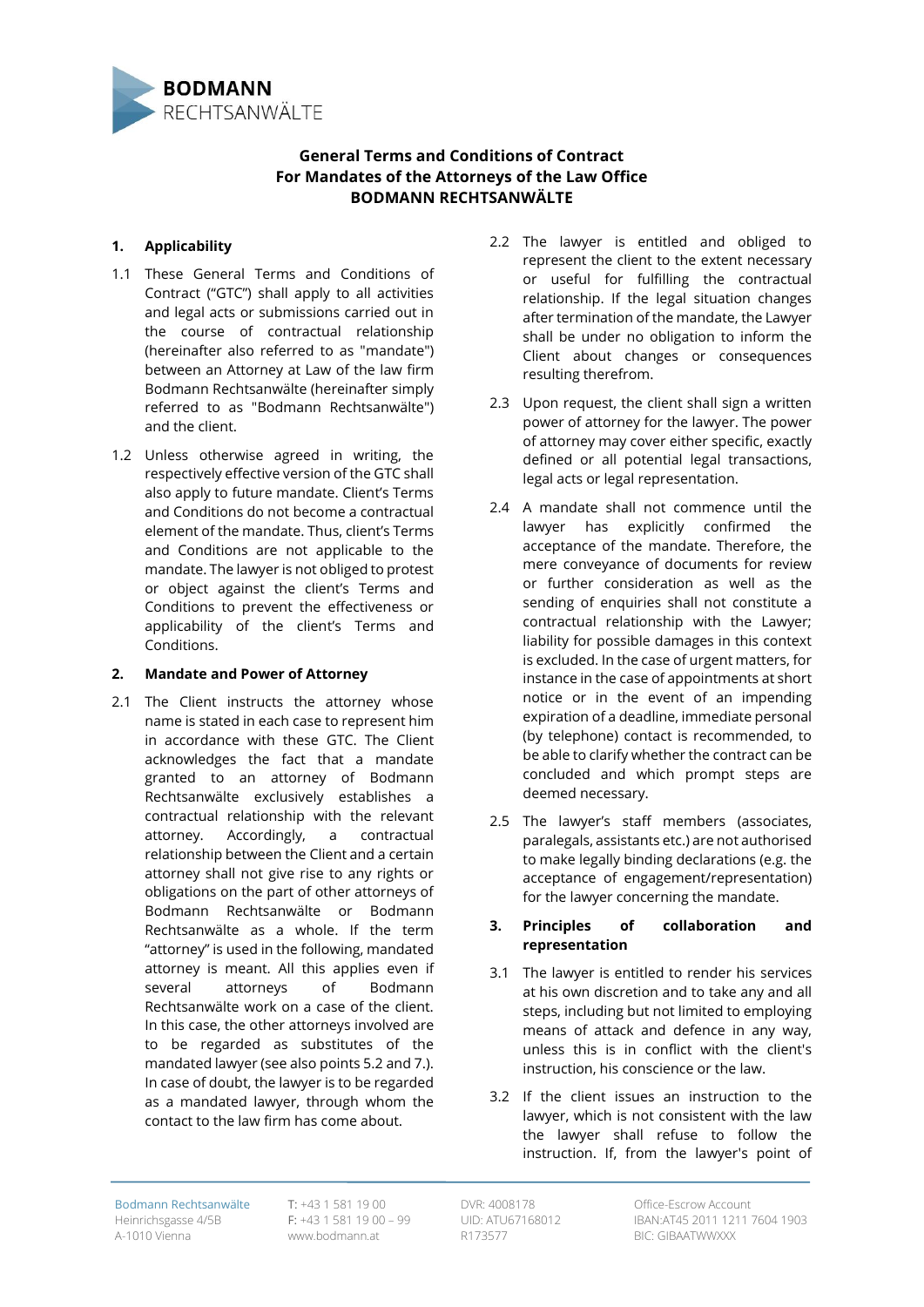

# **General Terms and Conditions of Contract For Mandates of the Attorneys of the Law Office BODMANN RECHTSANWÄLTE**

# **1. Applicability**

- 1.1 These General Terms and Conditions of Contract ("GTC") shall apply to all activities and legal acts or submissions carried out in the course of contractual relationship (hereinafter also referred to as "mandate") between an Attorney at Law of the law firm Bodmann Rechtsanwälte (hereinafter simply referred to as "Bodmann Rechtsanwälte") and the client.
- 1.2 Unless otherwise agreed in writing, the respectively effective version of the GTC shall also apply to future mandate. Client's Terms and Conditions do not become a contractual element of the mandate. Thus, client's Terms and Conditions are not applicable to the mandate. The lawyer is not obliged to protest or object against the client's Terms and Conditions to prevent the effectiveness or applicability of the client's Terms and Conditions.

# **2. Mandate and Power of Attorney**

2.1 The Client instructs the attorney whose name is stated in each case to represent him in accordance with these GTC. The Client acknowledges the fact that a mandate granted to an attorney of Bodmann Rechtsanwälte exclusively establishes a contractual relationship with the relevant attorney. Accordingly, a contractual relationship between the Client and a certain attorney shall not give rise to any rights or obligations on the part of other attorneys of Bodmann Rechtsanwälte or Bodmann Rechtsanwälte as a whole. If the term "attorney" is used in the following, mandated attorney is meant. All this applies even if several attorneys of Bodmann Rechtsanwälte work on a case of the client. In this case, the other attorneys involved are to be regarded as substitutes of the mandated lawyer (see also points 5.2 and 7.). In case of doubt, the lawyer is to be regarded as a mandated lawyer, through whom the contact to the law firm has come about.

- 2.2 The lawyer is entitled and obliged to represent the client to the extent necessary or useful for fulfilling the contractual relationship. If the legal situation changes after termination of the mandate, the Lawyer shall be under no obligation to inform the Client about changes or consequences resulting therefrom.
- 2.3 Upon request, the client shall sign a written power of attorney for the lawyer. The power of attorney may cover either specific, exactly defined or all potential legal transactions, legal acts or legal representation.
- 2.4 A mandate shall not commence until the lawyer has explicitly confirmed the acceptance of the mandate. Therefore, the mere conveyance of documents for review or further consideration as well as the sending of enquiries shall not constitute a contractual relationship with the Lawyer; liability for possible damages in this context is excluded. In the case of urgent matters, for instance in the case of appointments at short notice or in the event of an impending expiration of a deadline, immediate personal (by telephone) contact is recommended, to be able to clarify whether the contract can be concluded and which prompt steps are deemed necessary.
- 2.5 The lawyer's staff members (associates, paralegals, assistants etc.) are not authorised to make legally binding declarations (e.g. the acceptance of engagement/representation) for the lawyer concerning the mandate.

#### **3. Principles of collaboration and representation**

- 3.1 The lawyer is entitled to render his services at his own discretion and to take any and all steps, including but not limited to employing means of attack and defence in any way, unless this is in conflict with the client's instruction, his conscience or the law.
- 3.2 If the client issues an instruction to the lawyer, which is not consistent with the law the lawyer shall refuse to follow the instruction. If, from the lawyer's point of

Bodmann Rechtsanwälte Heinrichsgasse 4/5B A-1010 Vienna

T: +43 1 581 19 00 F: +43 1 581 19 00 – 99 www.bodmann.at

DVR: 4008178 UID: ATU67168012 R173577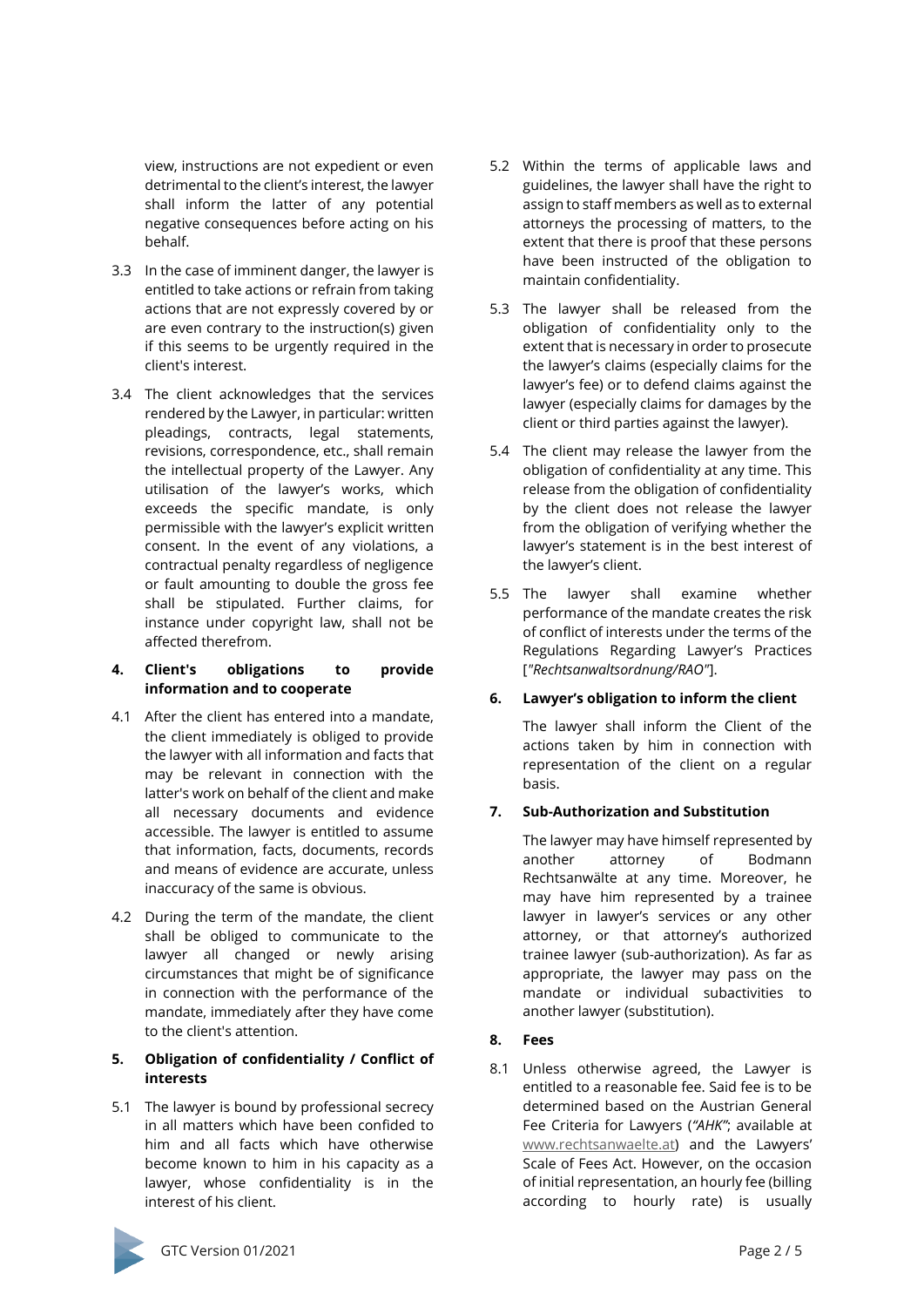view, instructions are not expedient or even detrimental to the client's interest, the lawyer shall inform the latter of any potential negative consequences before acting on his behalf.

- 3.3 In the case of imminent danger, the lawyer is entitled to take actions or refrain from taking actions that are not expressly covered by or are even contrary to the instruction(s) given if this seems to be urgently required in the client's interest.
- 3.4 The client acknowledges that the services rendered by the Lawyer, in particular: written pleadings, contracts, legal statements, revisions, correspondence, etc., shall remain the intellectual property of the Lawyer. Any utilisation of the lawyer's works, which exceeds the specific mandate, is only permissible with the lawyer's explicit written consent. In the event of any violations, a contractual penalty regardless of negligence or fault amounting to double the gross fee shall be stipulated. Further claims, for instance under copyright law, shall not be affected therefrom.

#### **4. Client's obligations to provide information and to cooperate**

- 4.1 After the client has entered into a mandate, the client immediately is obliged to provide the lawyer with all information and facts that may be relevant in connection with the latter's work on behalf of the client and make all necessary documents and evidence accessible. The lawyer is entitled to assume that information, facts, documents, records and means of evidence are accurate, unless inaccuracy of the same is obvious.
- 4.2 During the term of the mandate, the client shall be obliged to communicate to the lawyer all changed or newly arising circumstances that might be of significance in connection with the performance of the mandate, immediately after they have come to the client's attention.

# **5. Obligation of confidentiality / Conflict of interests**

5.1 The lawyer is bound by professional secrecy in all matters which have been confided to him and all facts which have otherwise become known to him in his capacity as a lawyer, whose confidentiality is in the interest of his client.

- 5.2 Within the terms of applicable laws and guidelines, the lawyer shall have the right to assign to staff members as well as to external attorneys the processing of matters, to the extent that there is proof that these persons have been instructed of the obligation to maintain confidentiality.
- 5.3 The lawyer shall be released from the obligation of confidentiality only to the extent that is necessary in order to prosecute the lawyer's claims (especially claims for the lawyer's fee) or to defend claims against the lawyer (especially claims for damages by the client or third parties against the lawyer).
- 5.4 The client may release the lawyer from the obligation of confidentiality at any time. This release from the obligation of confidentiality by the client does not release the lawyer from the obligation of verifying whether the lawyer's statement is in the best interest of the lawyer's client.
- 5.5 The lawyer shall examine whether performance of the mandate creates the risk of conflict of interests under the terms of the Regulations Regarding Lawyer's Practices [*"Rechtsanwaltsordnung/RAO"*].

# **6. Lawyer's obligation to inform the client**

The lawyer shall inform the Client of the actions taken by him in connection with representation of the client on a regular basis.

# **7. Sub-Authorization and Substitution**

The lawyer may have himself represented by another attorney of Bodmann Rechtsanwälte at any time. Moreover, he may have him represented by a trainee lawyer in lawyer's services or any other attorney, or that attorney's authorized trainee lawyer (sub-authorization). As far as appropriate, the lawyer may pass on the mandate or individual subactivities to another lawyer (substitution).

# **8. Fees**

8.1 Unless otherwise agreed, the Lawyer is entitled to a reasonable fee. Said fee is to be determined based on the Austrian General Fee Criteria for Lawyers (*"AHK"*; available at [www.rechtsanwaelte.at\)](http://www.rechtsanwaelte.at/) and the Lawyers' Scale of Fees Act. However, on the occasion of initial representation, an hourly fee (billing according to hourly rate) is usually

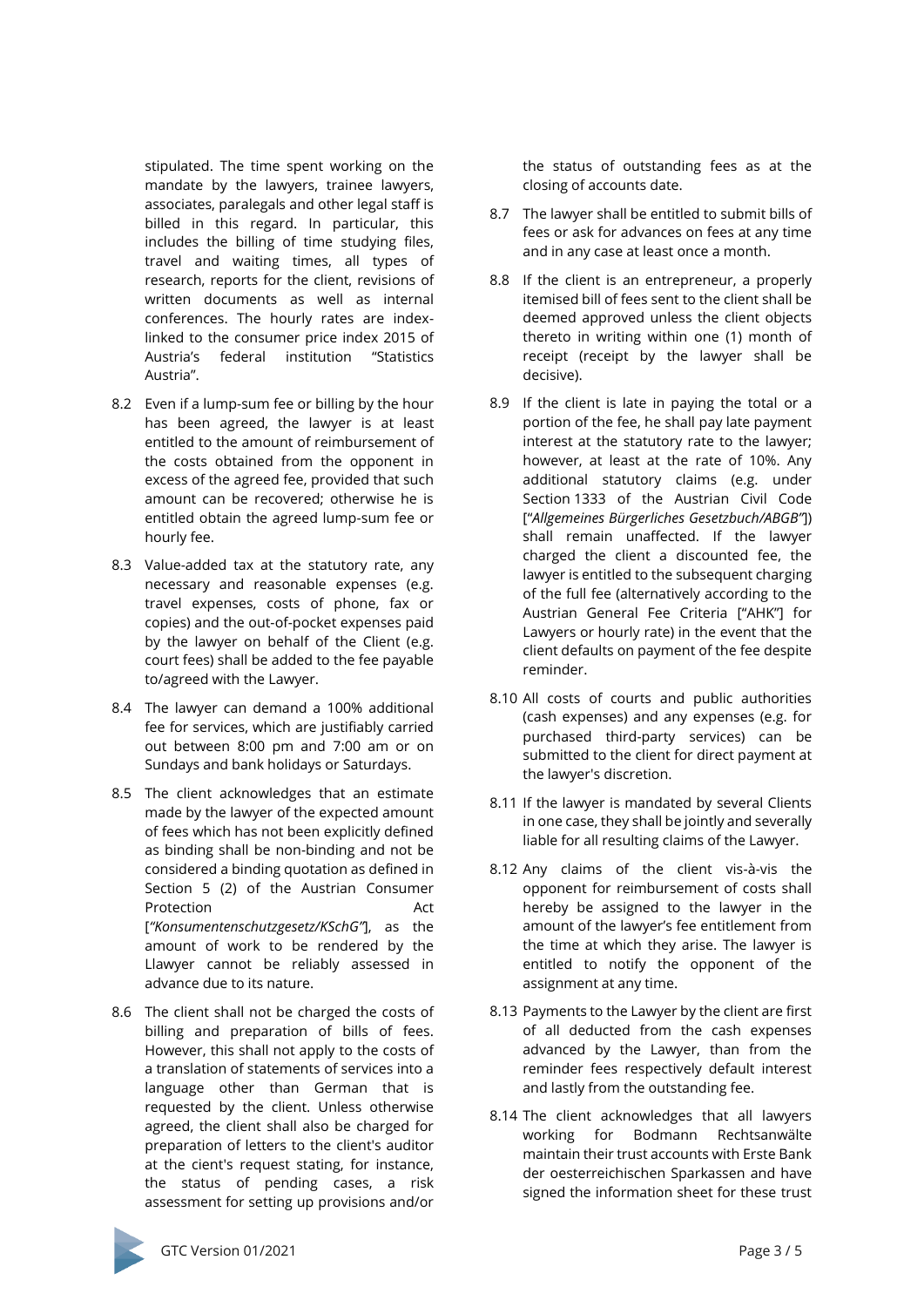stipulated. The time spent working on the mandate by the lawyers, trainee lawyers, associates, paralegals and other legal staff is billed in this regard. In particular, this includes the billing of time studying files, travel and waiting times, all types of research, reports for the client, revisions of written documents as well as internal conferences. The hourly rates are indexlinked to the consumer price index 2015 of Austria's federal institution "Statistics Austria".

- 8.2 Even if a lump-sum fee or billing by the hour has been agreed, the lawyer is at least entitled to the amount of reimbursement of the costs obtained from the opponent in excess of the agreed fee, provided that such amount can be recovered; otherwise he is entitled obtain the agreed lump-sum fee or hourly fee.
- 8.3 Value-added tax at the statutory rate, any necessary and reasonable expenses (e.g. travel expenses, costs of phone, fax or copies) and the out-of-pocket expenses paid by the lawyer on behalf of the Client (e.g. court fees) shall be added to the fee payable to/agreed with the Lawyer.
- 8.4 The lawyer can demand a 100% additional fee for services, which are justifiably carried out between 8:00 pm and 7:00 am or on Sundays and bank holidays or Saturdays.
- 8.5 The client acknowledges that an estimate made by the lawyer of the expected amount of fees which has not been explicitly defined as binding shall be non-binding and not be considered a binding quotation as defined in Section 5 (2) of the Austrian Consumer Protection Act [*"Konsumentenschutzgesetz/KSchG"*], as the amount of work to be rendered by the Llawyer cannot be reliably assessed in advance due to its nature.
- 8.6 The client shall not be charged the costs of billing and preparation of bills of fees. However, this shall not apply to the costs of a translation of statements of services into a language other than German that is requested by the client. Unless otherwise agreed, the client shall also be charged for preparation of letters to the client's auditor at the cient's request stating, for instance, the status of pending cases, a risk assessment for setting up provisions and/or

the status of outstanding fees as at the closing of accounts date.

- 8.7 The lawyer shall be entitled to submit bills of fees or ask for advances on fees at any time and in any case at least once a month.
- 8.8 If the client is an entrepreneur, a properly itemised bill of fees sent to the client shall be deemed approved unless the client objects thereto in writing within one (1) month of receipt (receipt by the lawyer shall be decisive).
- 8.9 If the client is late in paying the total or a portion of the fee, he shall pay late payment interest at the statutory rate to the lawyer; however, at least at the rate of 10%. Any additional statutory claims (e.g. under Section 1333 of the Austrian Civil Code ["*Allgemeines Bürgerliches Gesetzbuch/ABGB"*]) shall remain unaffected. If the lawyer charged the client a discounted fee, the lawyer is entitled to the subsequent charging of the full fee (alternatively according to the Austrian General Fee Criteria ["AHK"] for Lawyers or hourly rate) in the event that the client defaults on payment of the fee despite reminder.
- 8.10 All costs of courts and public authorities (cash expenses) and any expenses (e.g. for purchased third-party services) can be submitted to the client for direct payment at the lawyer's discretion.
- 8.11 If the lawyer is mandated by several Clients in one case, they shall be jointly and severally liable for all resulting claims of the Lawyer.
- 8.12 Any claims of the client vis-à-vis the opponent for reimbursement of costs shall hereby be assigned to the lawyer in the amount of the lawyer's fee entitlement from the time at which they arise. The lawyer is entitled to notify the opponent of the assignment at any time.
- 8.13 Payments to the Lawyer by the client are first of all deducted from the cash expenses advanced by the Lawyer, than from the reminder fees respectively default interest and lastly from the outstanding fee.
- 8.14 The client acknowledges that all lawyers working for Bodmann Rechtsanwälte maintain their trust accounts with Erste Bank der oesterreichischen Sparkassen and have signed the information sheet for these trust

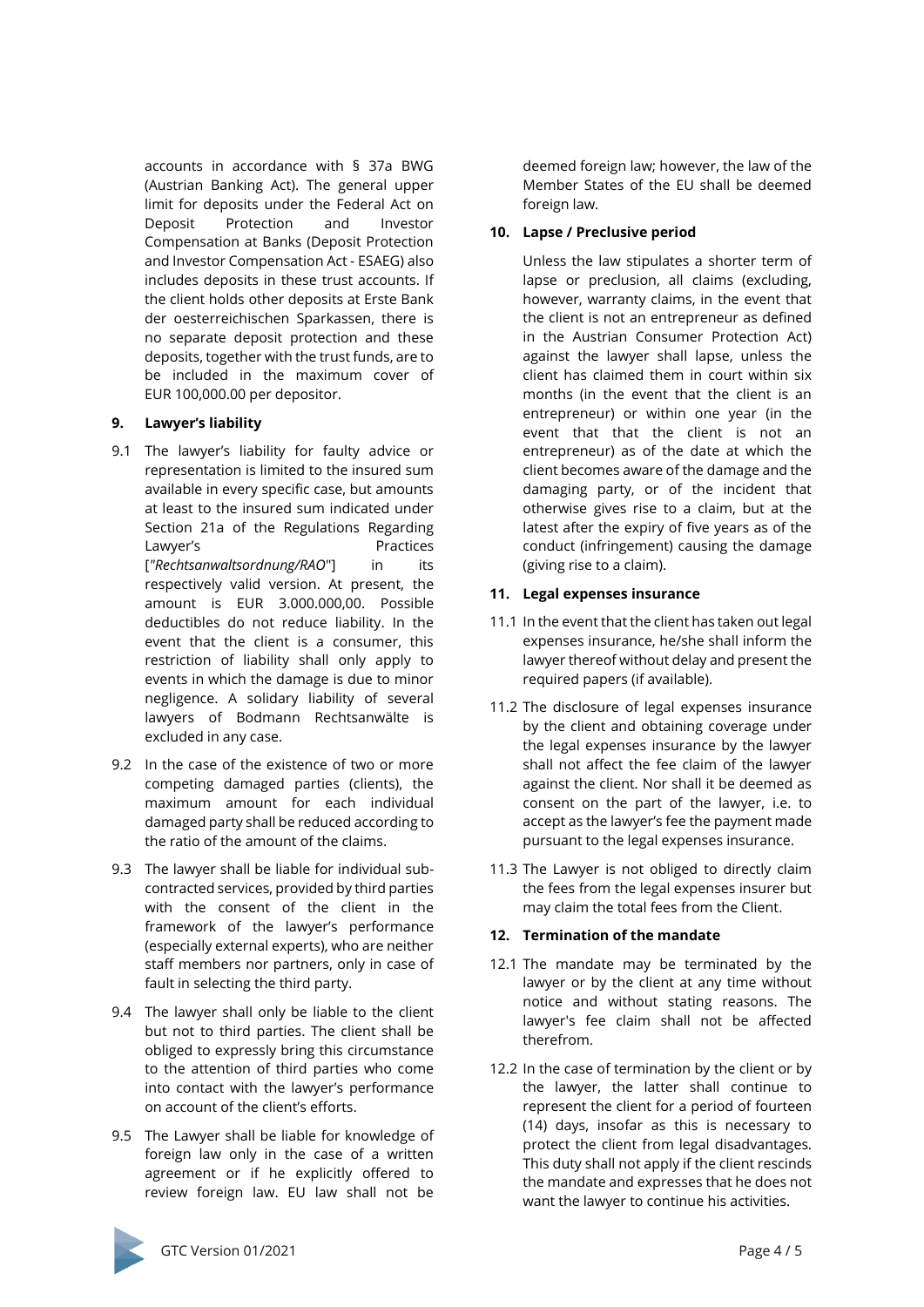accounts in accordance with § 37a BWG (Austrian Banking Act). The general upper limit for deposits under the Federal Act on Deposit Protection and Investor Compensation at Banks (Deposit Protection and Investor Compensation Act - ESAEG) also includes deposits in these trust accounts. If the client holds other deposits at Erste Bank der oesterreichischen Sparkassen, there is no separate deposit protection and these deposits, together with the trust funds, are to be included in the maximum cover of EUR 100,000.00 per depositor.

# **9. Lawyer's liability**

- 9.1 The lawyer's liability for faulty advice or representation is limited to the insured sum available in every specific case, but amounts at least to the insured sum indicated under Section 21a of the Regulations Regarding Lawyer's **Example 2018** Practices [*"Rechtsanwaltsordnung/RAO*"] in its respectively valid version. At present, the amount is EUR 3.000.000,00. Possible deductibles do not reduce liability. In the event that the client is a consumer, this restriction of liability shall only apply to events in which the damage is due to minor negligence. A solidary liability of several lawyers of Bodmann Rechtsanwälte is excluded in any case.
- 9.2 In the case of the existence of two or more competing damaged parties (clients), the maximum amount for each individual damaged party shall be reduced according to the ratio of the amount of the claims.
- 9.3 The lawyer shall be liable for individual subcontracted services, provided by third parties with the consent of the client in the framework of the lawyer's performance (especially external experts), who are neither staff members nor partners, only in case of fault in selecting the third party.
- 9.4 The lawyer shall only be liable to the client but not to third parties. The client shall be obliged to expressly bring this circumstance to the attention of third parties who come into contact with the lawyer's performance on account of the client's efforts.
- 9.5 The Lawyer shall be liable for knowledge of foreign law only in the case of a written agreement or if he explicitly offered to review foreign law. EU law shall not be

deemed foreign law; however, the law of the Member States of the EU shall be deemed foreign law.

#### **10. Lapse / Preclusive period**

Unless the law stipulates a shorter term of lapse or preclusion, all claims (excluding, however, warranty claims, in the event that the client is not an entrepreneur as defined in the Austrian Consumer Protection Act) against the lawyer shall lapse, unless the client has claimed them in court within six months (in the event that the client is an entrepreneur) or within one year (in the event that that the client is not an entrepreneur) as of the date at which the client becomes aware of the damage and the damaging party, or of the incident that otherwise gives rise to a claim, but at the latest after the expiry of five years as of the conduct (infringement) causing the damage (giving rise to a claim).

#### **11. Legal expenses insurance**

- 11.1 In the event that the client has taken out legal expenses insurance, he/she shall inform the lawyer thereof without delay and present the required papers (if available).
- 11.2 The disclosure of legal expenses insurance by the client and obtaining coverage under the legal expenses insurance by the lawyer shall not affect the fee claim of the lawyer against the client. Nor shall it be deemed as consent on the part of the lawyer, i.e. to accept as the lawyer's fee the payment made pursuant to the legal expenses insurance.
- 11.3 The Lawyer is not obliged to directly claim the fees from the legal expenses insurer but may claim the total fees from the Client.

# **12. Termination of the mandate**

- 12.1 The mandate may be terminated by the lawyer or by the client at any time without notice and without stating reasons. The lawyer's fee claim shall not be affected therefrom.
- 12.2 In the case of termination by the client or by the lawyer, the latter shall continue to represent the client for a period of fourteen (14) days, insofar as this is necessary to protect the client from legal disadvantages. This duty shall not apply if the client rescinds the mandate and expresses that he does not want the lawyer to continue his activities.